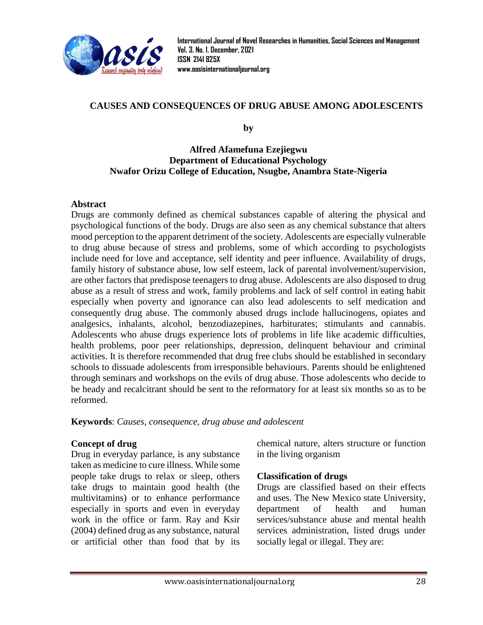

**International Journal of Novel Researches in Humanities, Social Sciences and Management Vol. 3. No. 1. December, 2021 ISSN 2141 825X [www.oasisinternationaljournal.org](http://www.oasisinternationaljournal.org/)**

# **CAUSES AND CONSEQUENCES OF DRUG ABUSE AMONG ADOLESCENTS**

**by**

### **Alfred Afamefuna Ezejiegwu Department of Educational Psychology Nwafor Orizu College of Education, Nsugbe, Anambra State-Nigeria**

#### **Abstract**

Drugs are commonly defined as chemical substances capable of altering the physical and psychological functions of the body. Drugs are also seen as any chemical substance that alters mood perception to the apparent detriment of the society. Adolescents are especially vulnerable to drug abuse because of stress and problems, some of which according to psychologists include need for love and acceptance, self identity and peer influence. Availability of drugs, family history of substance abuse, low self esteem, lack of parental involvement/supervision, are other factors that predispose teenagers to drug abuse. Adolescents are also disposed to drug abuse as a result of stress and work, family problems and lack of self control in eating habit especially when poverty and ignorance can also lead adolescents to self medication and consequently drug abuse. The commonly abused drugs include hallucinogens, opiates and analgesics, inhalants, alcohol, benzodiazepines, harbiturates; stimulants and cannabis. Adolescents who abuse drugs experience lots of problems in life like academic difficulties, health problems, poor peer relationships, depression, delinquent behaviour and criminal activities. It is therefore recommended that drug free clubs should be established in secondary schools to dissuade adolescents from irresponsible behaviours. Parents should be enlightened through seminars and workshops on the evils of drug abuse. Those adolescents who decide to be heady and recalcitrant should be sent to the reformatory for at least six months so as to be reformed.

**Keywords**: *Causes, consequence, drug abuse and adolescent*

### **Concept of drug**

Drug in everyday parlance, is any substance taken as medicine to cure illness. While some people take drugs to relax or sleep, others take drugs to maintain good health (the multivitamins) or to enhance performance especially in sports and even in everyday work in the office or farm. Ray and Ksir (2004) defined drug as any substance, natural or artificial other than food that by its chemical nature, alters structure or function in the living organism

### **Classification of drugs**

Drugs are classified based on their effects and uses. The New Mexico state University, department of health and human services/substance abuse and mental health services administration, listed drugs under socially legal or illegal. They are: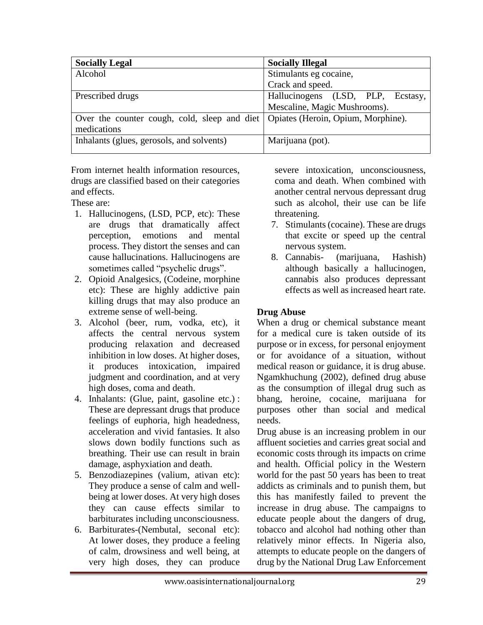| <b>Socially Legal</b>                                                             | <b>Socially Illegal</b>           |
|-----------------------------------------------------------------------------------|-----------------------------------|
| Alcohol                                                                           | Stimulants eg cocaine,            |
|                                                                                   | Crack and speed.                  |
| Prescribed drugs                                                                  | Hallucinogens (LSD, PLP, Ecstasy, |
|                                                                                   | Mescaline, Magic Mushrooms).      |
| Over the counter cough, cold, sleep and diet   Opiates (Heroin, Opium, Morphine). |                                   |
| medications                                                                       |                                   |
| Inhalants (glues, gerosols, and solvents)                                         | Marijuana (pot).                  |
|                                                                                   |                                   |

From internet health information resources, drugs are classified based on their categories and effects.

These are:

- 1. Hallucinogens, (LSD, PCP, etc): These are drugs that dramatically affect perception, emotions and mental process. They distort the senses and can cause hallucinations. Hallucinogens are sometimes called "psychelic drugs".
- 2. Opioid Analgesics, (Codeine, morphine etc): These are highly addictive pain killing drugs that may also produce an extreme sense of well-being.
- 3. Alcohol (beer, rum, vodka, etc), it affects the central nervous system producing relaxation and decreased inhibition in low doses. At higher doses, it produces intoxication, impaired judgment and coordination, and at very high doses, coma and death.
- 4. Inhalants: (Glue, paint, gasoline etc.) : These are depressant drugs that produce feelings of euphoria, high headedness, acceleration and vivid fantasies. It also slows down bodily functions such as breathing. Their use can result in brain damage, asphyxiation and death.
- 5. Benzodiazepines (valium, ativan etc): They produce a sense of calm and wellbeing at lower doses. At very high doses they can cause effects similar to barbiturates including unconsciousness.
- 6. Barbiturates-(Nembutal, seconal etc): At lower doses, they produce a feeling of calm, drowsiness and well being, at very high doses, they can produce

severe intoxication, unconsciousness, coma and death. When combined with another central nervous depressant drug such as alcohol, their use can be life threatening.

- 7. Stimulants (cocaine). These are drugs that excite or speed up the central nervous system.
- 8. Cannabis- (marijuana, Hashish) although basically a hallucinogen, cannabis also produces depressant effects as well as increased heart rate.

# **Drug Abuse**

When a drug or chemical substance meant for a medical cure is taken outside of its purpose or in excess, for personal enjoyment or for avoidance of a situation, without medical reason or guidance, it is drug abuse. Ngamkhuchung (2002), defined drug abuse as the consumption of illegal drug such as bhang, heroine, cocaine, marijuana for purposes other than social and medical needs.

Drug abuse is an increasing problem in our affluent societies and carries great social and economic costs through its impacts on crime and health. Official policy in the Western world for the past 50 years has been to treat addicts as criminals and to punish them, but this has manifestly failed to prevent the increase in drug abuse. The campaigns to educate people about the dangers of drug, tobacco and alcohol had nothing other than relatively minor effects. In Nigeria also, attempts to educate people on the dangers of drug by the National Drug Law Enforcement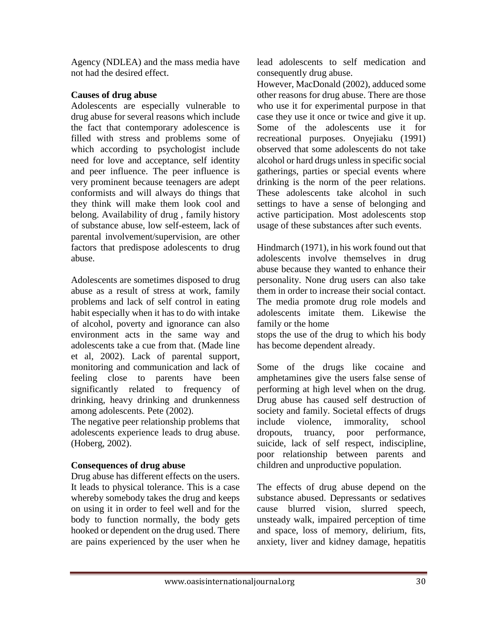Agency (NDLEA) and the mass media have not had the desired effect.

# **Causes of drug abuse**

Adolescents are especially vulnerable to drug abuse for several reasons which include the fact that contemporary adolescence is filled with stress and problems some of which according to psychologist include need for love and acceptance, self identity and peer influence. The peer influence is very prominent because teenagers are adept conformists and will always do things that they think will make them look cool and belong. Availability of drug , family history of substance abuse, low self-esteem, lack of parental involvement/supervision, are other factors that predispose adolescents to drug abuse.

Adolescents are sometimes disposed to drug abuse as a result of stress at work, family problems and lack of self control in eating habit especially when it has to do with intake of alcohol, poverty and ignorance can also environment acts in the same way and adolescents take a cue from that. (Made line et al, 2002). Lack of parental support, monitoring and communication and lack of feeling close to parents have been significantly related to frequency of drinking, heavy drinking and drunkenness among adolescents. Pete (2002).

The negative peer relationship problems that adolescents experience leads to drug abuse. (Hoberg, 2002).

# **Consequences of drug abuse**

Drug abuse has different effects on the users. It leads to physical tolerance. This is a case whereby somebody takes the drug and keeps on using it in order to feel well and for the body to function normally, the body gets hooked or dependent on the drug used. There are pains experienced by the user when he lead adolescents to self medication and consequently drug abuse.

However, MacDonald (2002), adduced some other reasons for drug abuse. There are those who use it for experimental purpose in that case they use it once or twice and give it up. Some of the adolescents use it for recreational purposes. Onyejiaku (1991) observed that some adolescents do not take alcohol or hard drugs unless in specific social gatherings, parties or special events where drinking is the norm of the peer relations. These adolescents take alcohol in such settings to have a sense of belonging and active participation. Most adolescents stop usage of these substances after such events.

Hindmarch (1971), in his work found out that adolescents involve themselves in drug abuse because they wanted to enhance their personality. None drug users can also take them in order to increase their social contact. The media promote drug role models and adolescents imitate them. Likewise the family or the home

stops the use of the drug to which his body has become dependent already.

Some of the drugs like cocaine and amphetamines give the users false sense of performing at high level when on the drug. Drug abuse has caused self destruction of society and family. Societal effects of drugs include violence, immorality, school dropouts, truancy, poor performance, suicide, lack of self respect, indiscipline, poor relationship between parents and children and unproductive population.

The effects of drug abuse depend on the substance abused. Depressants or sedatives cause blurred vision, slurred speech, unsteady walk, impaired perception of time and space, loss of memory, delirium, fits, anxiety, liver and kidney damage, hepatitis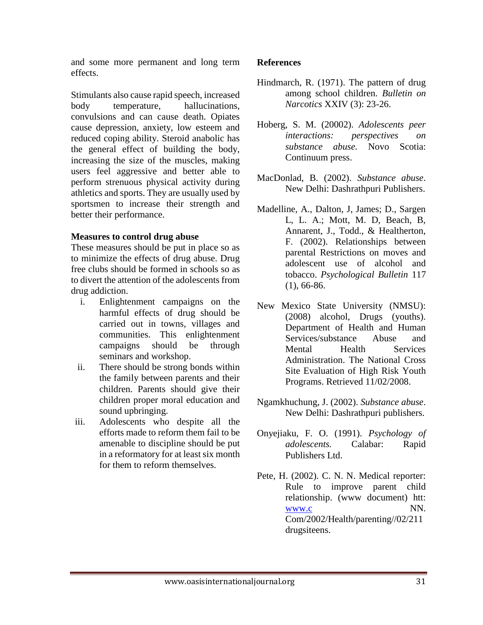and some more permanent and long term effects.

Stimulants also cause rapid speech, increased body temperature, hallucinations, convulsions and can cause death. Opiates cause depression, anxiety, low esteem and reduced coping ability. Steroid anabolic has the general effect of building the body, increasing the size of the muscles, making users feel aggressive and better able to perform strenuous physical activity during athletics and sports. They are usually used by sportsmen to increase their strength and better their performance.

## **Measures to control drug abuse**

These measures should be put in place so as to minimize the effects of drug abuse. Drug free clubs should be formed in schools so as to divert the attention of the adolescents from drug addiction.

- i. Enlightenment campaigns on the harmful effects of drug should be carried out in towns, villages and communities. This enlightenment campaigns should be through seminars and workshop.
- ii. There should be strong bonds within the family between parents and their children. Parents should give their children proper moral education and sound upbringing.
- iii. Adolescents who despite all the efforts made to reform them fail to be amenable to discipline should be put in a reformatory for at least six month for them to reform themselves.

# **References**

- Hindmarch, R. (1971). The pattern of drug among school children. *Bulletin on Narcotics* XXIV (3): 23-26.
- Hoberg, S. M. (20002). *Adolescents peer interactions: perspectives on substance abuse.* Novo Scotia: Continuum press.
- MacDonlad, B. (2002). *Substance abuse*. New Delhi: Dashrathpuri Publishers.
- Madelline, A., Dalton, J, James; D., Sargen L, L. A.; Mott, M. D, Beach, B, Annarent, J., Todd., & Healtherton, F. (2002). Relationships between parental Restrictions on moves and adolescent use of alcohol and tobacco. *Psychological Bulletin* 117 (1), 66-86.
- New Mexico State University (NMSU): (2008) alcohol, Drugs (youths). Department of Health and Human Services/substance Abuse and Mental Health Services Administration. The National Cross Site Evaluation of High Risk Youth Programs. Retrieved 11/02/2008.
- Ngamkhuchung, J. (2002). *Substance abuse*. New Delhi: Dashrathpuri publishers.
- Onyejiaku, F. O. (1991). *Psychology of adolescents.* Calabar: Rapid Publishers Ltd.
- Pete, H. (2002). C. N. N. Medical reporter: Rule to improve parent child relationship. (www document) htt: [www.c](http://www.c/) NN. Com/2002/Health/parenting//02/211 drugsiteens.